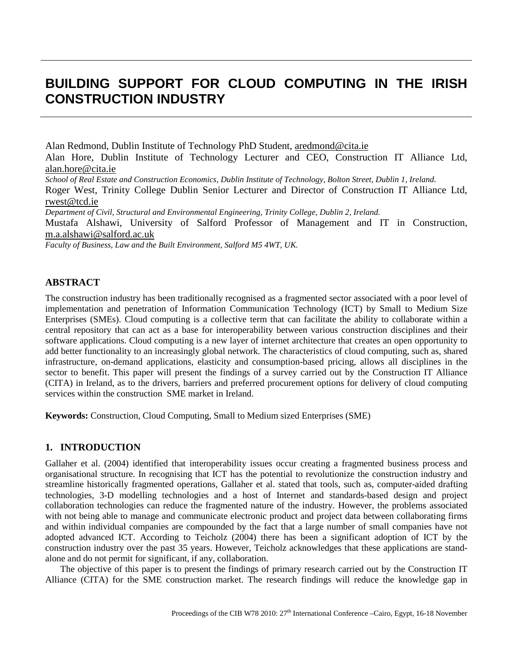# **BUILDING SUPPORT FOR CLOUD COMPUTING IN THE IRISH CONSTRUCTION INDUSTRY**

Alan Redmond, Dublin Institute of Technology PhD Student, [aredmond@cita.ie](mailto:aredmond@cita.ie) Alan Hore, Dublin Institute of Technology Lecturer and CEO, Construction IT Alliance Ltd, [alan.hore@cita.ie](mailto:alan.hore@cita.ie)

*School of Real Estate and Construction Economics, Dublin Institute of Technology, Bolton Street, Dublin 1, Ireland.*

Roger West, Trinity College Dublin Senior Lecturer and Director of Construction IT Alliance Ltd, [rwest@tcd.ie](mailto:rwest@tcd.ie)

*Department of Civil, Structural and Environmental Engineering, Trinity College, Dublin 2, Ireland.*

Mustafa Alshawi, University of Salford Professor of Management and IT in Construction, m.a.alshawi@salford.ac.uk

*Faculty of Business, Law and the Built Environment, Salford M5 4WT, UK.* 

#### **ABSTRACT**

The construction industry has been traditionally recognised as a fragmented sector associated with a poor level of implementation and penetration of Information Communication Technology (ICT) by Small to Medium Size Enterprises (SMEs). Cloud computing is a collective term that can facilitate the ability to collaborate within a central repository that can act as a base for interoperability between various construction disciplines and their software applications. Cloud computing is a new layer of internet architecture that creates an open opportunity to add better functionality to an increasingly global network. The characteristics of cloud computing, such as, shared infrastructure, on-demand applications, elasticity and consumption-based pricing, allows all disciplines in the sector to benefit. This paper will present the findings of a survey carried out by the Construction IT Alliance (CITA) in Ireland, as to the drivers, barriers and preferred procurement options for delivery of cloud computing services within the construction SME market in Ireland.

**Keywords:** Construction, Cloud Computing, Small to Medium sized Enterprises (SME)

#### **1. INTRODUCTION**

Gallaher et al. (2004) identified that interoperability issues occur creating a fragmented business process and organisational structure. In recognising that ICT has the potential to revolutionize the construction industry and streamline historically fragmented operations, Gallaher et al. stated that tools, such as, computer-aided drafting technologies, 3-D modelling technologies and a host of Internet and standards-based design and project collaboration technologies can reduce the fragmented nature of the industry. However, the problems associated with not being able to manage and communicate electronic product and project data between collaborating firms and within individual companies are compounded by the fact that a large number of small companies have not adopted advanced ICT. According to Teicholz (2004) there has been a significant adoption of ICT by the construction industry over the past 35 years. However, Teicholz acknowledges that these applications are standalone and do not permit for significant, if any, collaboration.

The objective of this paper is to present the findings of primary research carried out by the Construction IT Alliance (CITA) for the SME construction market. The research findings will reduce the knowledge gap in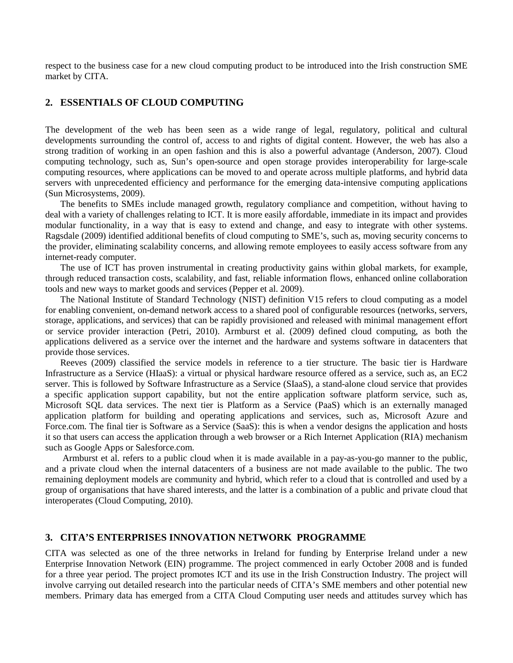respect to the business case for a new cloud computing product to be introduced into the Irish construction SME market by CITA.

## **2. ESSENTIALS OF CLOUD COMPUTING**

The development of the web has been seen as a wide range of legal, regulatory, political and cultural developments surrounding the control of, access to and rights of digital content. However, the web has also a strong tradition of working in an open fashion and this is also a powerful advantage (Anderson, 2007). Cloud computing technology, such as, Sun's open-source and open storage provides interoperability for large-scale computing resources, where applications can be moved to and operate across multiple platforms, and hybrid data servers with unprecedented efficiency and performance for the emerging data-intensive computing applications (Sun Microsystems, 2009).

The benefits to SMEs include managed growth, regulatory compliance and competition, without having to deal with a variety of challenges relating to ICT. It is more easily affordable, immediate in its impact and provides modular functionality, in a way that is easy to extend and change, and easy to integrate with other systems. Ragsdale (2009) identified additional benefits of cloud computing to SME's, such as, moving security concerns to the provider, eliminating scalability concerns, and allowing remote employees to easily access software from any internet-ready computer.

The use of ICT has proven instrumental in creating productivity gains within global markets, for example, through reduced transaction costs, scalability, and fast, reliable information flows, enhanced online collaboration tools and new ways to market goods and services (Pepper et al. 2009).

The National Institute of Standard Technology (NIST) definition V15 refers to cloud computing as a model for enabling convenient, on-demand network access to a shared pool of configurable resources (networks, servers, storage, applications, and services) that can be rapidly provisioned and released with minimal management effort or service provider interaction (Petri, 2010). Armburst et al. (2009) defined cloud computing, as both the applications delivered as a service over the internet and the hardware and systems software in datacenters that provide those services.

Reeves (2009) classified the service models in reference to a tier structure. The basic tier is Hardware Infrastructure as a Service (HIaaS): a virtual or physical hardware resource offered as a service, such as, an EC2 server. This is followed by Software Infrastructure as a Service (SIaaS), a stand-alone cloud service that provides a specific application support capability, but not the entire application software platform service, such as, Microsoft SQL data services. The next tier is Platform as a Service (PaaS) which is an externally managed application platform for building and operating applications and services, such as, Microsoft Azure and Force.com. The final tier is Software as a Service (SaaS): this is when a vendor designs the application and hosts it so that users can access the application through a web browser or a Rich Internet Application (RIA) mechanism such as Google Apps or Salesforce.com.

Armburst et al. refers to a public cloud when it is made available in a pay-as-you-go manner to the public, and a private cloud when the internal datacenters of a business are not made available to the public. The two remaining deployment models are community and hybrid, which refer to a cloud that is controlled and used by a group of organisations that have shared interests, and the latter is a combination of a public and private cloud that interoperates (Cloud Computing, 2010).

#### **3. CITA'S ENTERPRISES INNOVATION NETWORK PROGRAMME**

CITA was selected as one of the three networks in Ireland for funding by Enterprise Ireland under a new Enterprise Innovation Network (EIN) programme. The project commenced in early October 2008 and is funded for a three year period. The project promotes ICT and its use in the Irish Construction Industry. The project will involve carrying out detailed research into the particular needs of CITA's SME members and other potential new members. Primary data has emerged from a CITA Cloud Computing user needs and attitudes survey which has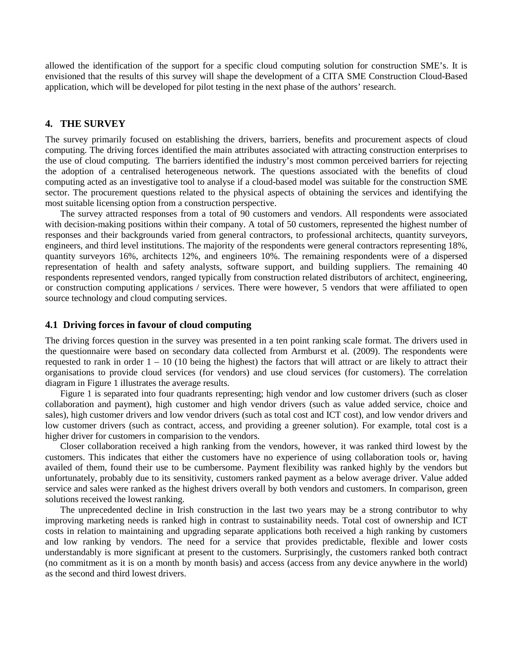allowed the identification of the support for a specific cloud computing solution for construction SME's. It is envisioned that the results of this survey will shape the development of a CITA SME Construction Cloud-Based application, which will be developed for pilot testing in the next phase of the authors' research.

#### **4. THE SURVEY**

The survey primarily focused on establishing the drivers, barriers, benefits and procurement aspects of cloud computing. The driving forces identified the main attributes associated with attracting construction enterprises to the use of cloud computing. The barriers identified the industry's most common perceived barriers for rejecting the adoption of a centralised heterogeneous network. The questions associated with the benefits of cloud computing acted as an investigative tool to analyse if a cloud-based model was suitable for the construction SME sector. The procurement questions related to the physical aspects of obtaining the services and identifying the most suitable licensing option from a construction perspective.

The survey attracted responses from a total of 90 customers and vendors. All respondents were associated with decision-making positions within their company. A total of 50 customers, represented the highest number of responses and their backgrounds varied from general contractors, to professional architects, quantity surveyors, engineers, and third level institutions. The majority of the respondents were general contractors representing 18%, quantity surveyors 16%, architects 12%, and engineers 10%. The remaining respondents were of a dispersed representation of health and safety analysts, software support, and building suppliers. The remaining 40 respondents represented vendors, ranged typically from construction related distributors of architect, engineering, or construction computing applications / services. There were however, 5 vendors that were affiliated to open source technology and cloud computing services.

#### **4.1 Driving forces in favour of cloud computing**

The driving forces question in the survey was presented in a ten point ranking scale format. The drivers used in the questionnaire were based on secondary data collected from Armburst et al. (2009). The respondents were requested to rank in order  $1 - 10$  (10 being the highest) the factors that will attract or are likely to attract their organisations to provide cloud services (for vendors) and use cloud services (for customers). The correlation diagram in Figure 1 illustrates the average results.

Figure 1 is separated into four quadrants representing; high vendor and low customer drivers (such as closer collaboration and payment), high customer and high vendor drivers (such as value added service, choice and sales), high customer drivers and low vendor drivers (such as total cost and ICT cost), and low vendor drivers and low customer drivers (such as contract, access, and providing a greener solution). For example, total cost is a higher driver for customers in comparision to the vendors.

Closer collaboration received a high ranking from the vendors, however, it was ranked third lowest by the customers. This indicates that either the customers have no experience of using collaboration tools or, having availed of them, found their use to be cumbersome. Payment flexibility was ranked highly by the vendors but unfortunately, probably due to its sensitivity, customers ranked payment as a below average driver. Value added service and sales were ranked as the highest drivers overall by both vendors and customers. In comparison, green solutions received the lowest ranking.

The unprecedented decline in Irish construction in the last two years may be a strong contributor to why improving marketing needs is ranked high in contrast to sustainability needs. Total cost of ownership and ICT costs in relation to maintaining and upgrading separate applications both received a high ranking by customers and low ranking by vendors. The need for a service that provides predictable, flexible and lower costs understandably is more significant at present to the customers. Surprisingly, the customers ranked both contract (no commitment as it is on a month by month basis) and access (access from any device anywhere in the world) as the second and third lowest drivers.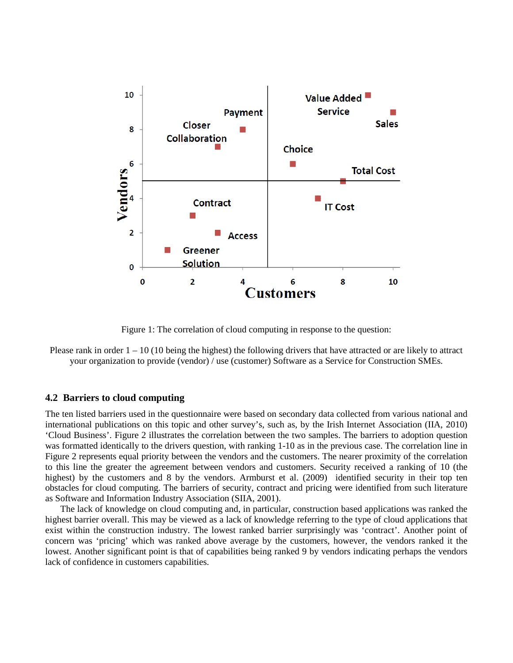

Figure 1: The correlation of cloud computing in response to the question:

Please rank in order  $1 - 10$  (10 being the highest) the following drivers that have attracted or are likely to attract your organization to provide (vendor) / use (customer) Software as a Service for Construction SMEs.

#### **4.2 Barriers to cloud computing**

The ten listed barriers used in the questionnaire were based on secondary data collected from various national and international publications on this topic and other survey's, such as, by the Irish Internet Association (IIA, 2010) 'Cloud Business'. Figure 2 illustrates the correlation between the two samples. The barriers to adoption question was formatted identically to the drivers question, with ranking 1-10 as in the previous case. The correlation line in Figure 2 represents equal priority between the vendors and the customers. The nearer proximity of the correlation to this line the greater the agreement between vendors and customers. Security received a ranking of 10 (the highest) by the customers and 8 by the vendors. Armburst et al. (2009) identified security in their top ten obstacles for cloud computing. The barriers of security, contract and pricing were identified from such literature as Software and Information Industry Association (SIIA, 2001).

The lack of knowledge on cloud computing and, in particular, construction based applications was ranked the highest barrier overall. This may be viewed as a lack of knowledge referring to the type of cloud applications that exist within the construction industry. The lowest ranked barrier surprisingly was 'contract'. Another point of concern was 'pricing' which was ranked above average by the customers, however, the vendors ranked it the lowest. Another significant point is that of capabilities being ranked 9 by vendors indicating perhaps the vendors lack of confidence in customers capabilities.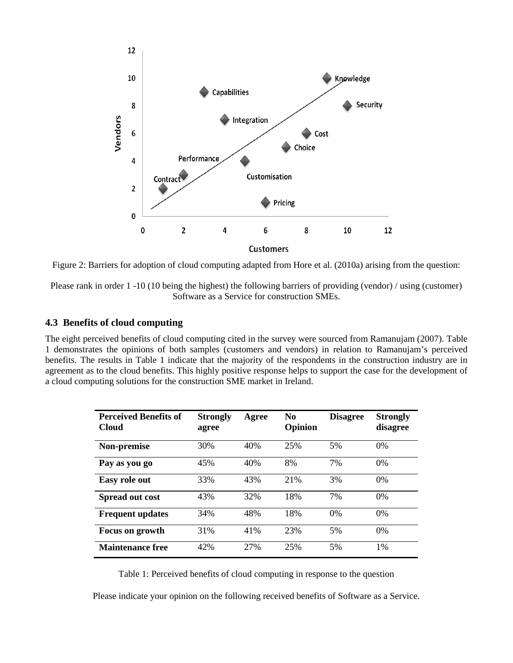

Figure 2: Barriers for adoption of cloud computing adapted from Hore et al. (2010a) arising from the question:

Please rank in order 1 -10 (10 being the highest) the following barriers of providing (vendor) / using (customer) Software as a Service for construction SMEs.

#### **4.3 Benefits of cloud computing**

The eight perceived benefits of cloud computing cited in the survey were sourced from Ramanujam (2007). Table 1 demonstrates the opinions of both samples (customers and vendors) in relation to Ramanujam's perceived benefits. The results in Table 1 indicate that the majority of the respondents in the construction industry are in agreement as to the cloud benefits. This highly positive response helps to support the case for the development of a cloud computing solutions for the construction SME market in Ireland.

| <b>Perceived Benefits of</b><br><b>Cloud</b> | <b>Strongly</b><br>agree | Agree | N <sub>0</sub><br>Opinion | <b>Disagree</b> | <b>Strongly</b><br>disagree |
|----------------------------------------------|--------------------------|-------|---------------------------|-----------------|-----------------------------|
| Non-premise                                  | 30%                      | 40%   | 25%                       | 5%              | $0\%$                       |
| Pay as you go                                | 45%                      | 40%   | 8%                        | 7%              | $0\%$                       |
| Easy role out                                | 33%                      | 43%   | 21%                       | 3%              | 0%                          |
| Spread out cost                              | 43%                      | 32%   | 18%                       | 7%              | $0\%$                       |
| <b>Frequent updates</b>                      | 34%                      | 48%   | 18%                       | 0%              | 0%                          |
| <b>Focus on growth</b>                       | 31%                      | 41%   | 23%                       | 5%              | $0\%$                       |
| <b>Maintenance free</b>                      | 42%                      | 27%   | 25%                       | 5%              | 1%                          |

Table 1: Perceived benefits of cloud computing in response to the question

Please indicate your opinion on the following received benefits of Software as a Service.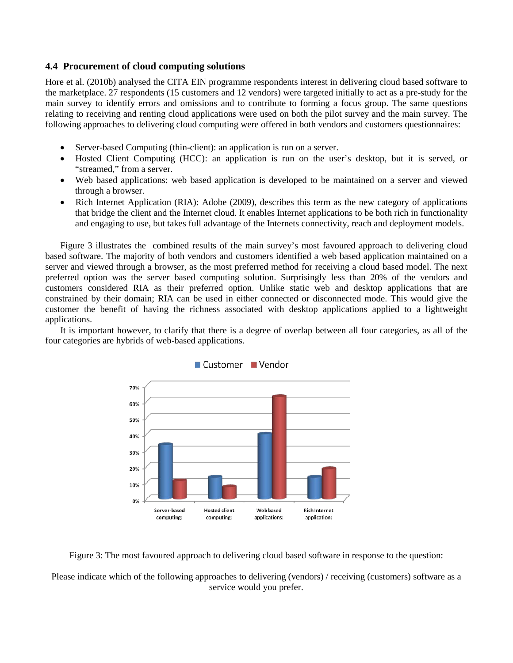## **4.4 Procurement of cloud computing solutions**

Hore et al. (2010b) analysed the CITA EIN programme respondents interest in delivering cloud based software to the marketplace. 27 respondents (15 customers and 12 vendors) were targeted initially to act as a pre-study for the main survey to identify errors and omissions and to contribute to forming a focus group. The same questions relating to receiving and renting cloud applications were used on both the pilot survey and the main survey. The following approaches to delivering cloud computing were offered in both vendors and customers questionnaires:

- Server-based Computing (thin-client): an application is run on a server.
- Hosted Client Computing (HCC): an application is run on the user's desktop, but it is served, or "streamed," from a server.
- Web based applications: web based application is developed to be maintained on a server and viewed through a browser.
- Rich Internet Application (RIA): Adobe (2009), describes this term as the new category of applications that bridge the client and the Internet cloud. It enables Internet applications to be both rich in functionality and engaging to use, but takes full advantage of the Internets connectivity, reach and deployment models.

Figure 3 illustrates the combined results of the main survey's most favoured approach to delivering cloud based software. The majority of both vendors and customers identified a web based application maintained on a server and viewed through a browser, as the most preferred method for receiving a cloud based model. The next preferred option was the server based computing solution. Surprisingly less than 20% of the vendors and customers considered RIA as their preferred option. Unlike static web and desktop applications that are constrained by their domain; RIA can be used in either connected or disconnected mode. This would give the customer the benefit of having the richness associated with desktop applications applied to a lightweight applications.

It is important however, to clarify that there is a degree of overlap between all four categories, as all of the four categories are hybrids of web-based applications.





Figure 3: The most favoured approach to delivering cloud based software in response to the question:

Please indicate which of the following approaches to delivering (vendors) / receiving (customers) software as a service would you prefer.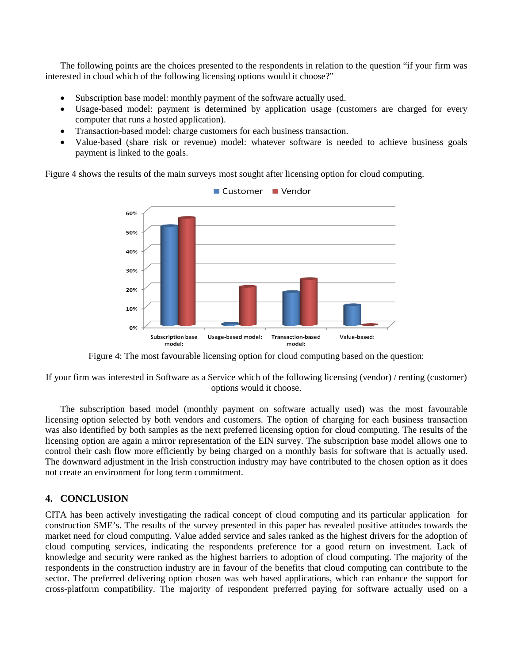The following points are the choices presented to the respondents in relation to the question "if your firm was interested in cloud which of the following licensing options would it choose?"

- Subscription base model: monthly payment of the software actually used.
- Usage-based model: payment is determined by application usage (customers are charged for every computer that runs a hosted application).
- Transaction-based model: charge customers for each business transaction.
- Value-based (share risk or revenue) model: whatever software is needed to achieve business goals payment is linked to the goals.

Figure 4 shows the results of the main surveys most sought after licensing option for cloud computing.



Figure 4: The most favourable licensing option for cloud computing based on the question:

If your firm was interested in Software as a Service which of the following licensing (vendor) / renting (customer) options would it choose.

The subscription based model (monthly payment on software actually used) was the most favourable licensing option selected by both vendors and customers. The option of charging for each business transaction was also identified by both samples as the next preferred licensing option for cloud computing. The results of the licensing option are again a mirror representation of the EIN survey. The subscription base model allows one to control their cash flow more efficiently by being charged on a monthly basis for software that is actually used. The downward adjustment in the Irish construction industry may have contributed to the chosen option as it does not create an environment for long term commitment.

# **4. CONCLUSION**

CITA has been actively investigating the radical concept of cloud computing and its particular application for construction SME's. The results of the survey presented in this paper has revealed positive attitudes towards the market need for cloud computing. Value added service and sales ranked as the highest drivers for the adoption of cloud computing services, indicating the respondents preference for a good return on investment. Lack of knowledge and security were ranked as the highest barriers to adoption of cloud computing. The majority of the respondents in the construction industry are in favour of the benefits that cloud computing can contribute to the sector. The preferred delivering option chosen was web based applications, which can enhance the support for cross-platform compatibility. The majority of respondent preferred paying for software actually used on a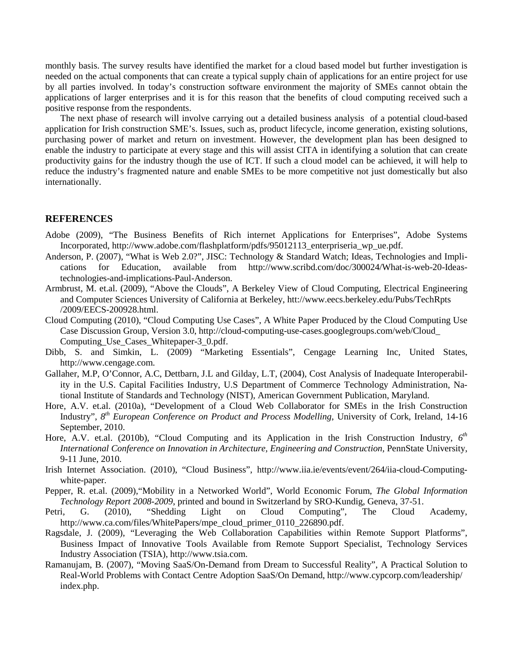monthly basis. The survey results have identified the market for a cloud based model but further investigation is needed on the actual components that can create a typical supply chain of applications for an entire project for use by all parties involved. In today's construction software environment the majority of SMEs cannot obtain the applications of larger enterprises and it is for this reason that the benefits of cloud computing received such a positive response from the respondents.

The next phase of research will involve carrying out a detailed business analysis of a potential cloud-based application for Irish construction SME's. Issues, such as, product lifecycle, income generation, existing solutions, purchasing power of market and return on investment. However, the development plan has been designed to enable the industry to participate at every stage and this will assist CITA in identifying a solution that can create productivity gains for the industry though the use of ICT. If such a cloud model can be achieved, it will help to reduce the industry's fragmented nature and enable SMEs to be more competitive not just domestically but also internationally.

#### **REFERENCES**

- Adobe (2009), "The Business Benefits of Rich internet Applications for Enterprises", Adobe Systems Incorporated, http://www.adobe.com/flashplatform/pdfs/95012113\_enterpriseria\_wp\_ue.pdf.
- Anderson, P. (2007), "What is Web 2.0?", JISC: Technology & Standard Watch; Ideas, Technologies and Implications for Education, available from [http://www.scribd.com/doc/300024/What-is-web-20-Ideas](http://www.scribd.com/doc/300024/What-is-web-20-Ideas-technologies-and-implications-Paul-Anderson)[technologies-and-implications-Paul-Anderson.](http://www.scribd.com/doc/300024/What-is-web-20-Ideas-technologies-and-implications-Paul-Anderson)
- Armbrust, M. et.al. (2009), "Above the Clouds", A Berkeley View of Cloud Computing, Electrical Engineering and Computer Sciences University of California at Berkeley, htt://www.eecs.berkeley.edu/Pubs/TechRpts /2009/EECS-200928.html.
- Cloud Computing (2010), "Cloud Computing Use Cases", A White Paper Produced by the Cloud Computing Use Case Discussion Group, Version 3.0, [http://cloud-computing-use-cases.googlegroups.com/w](http://cloud-computing-use-cases.googlegroups.com/)eb/Cloud\_ Computing Use Cases Whitepaper-3 0.pdf.
- Dibb, S. and Simkin, L. (2009) "Marketing Essentials", Cengage Learning Inc, United States, [http://www.cengage.com.](http://www.cengage.com/)
- Gallaher, M.P, O'Connor, A.C, Dettbarn, J.L and Gilday, L.T, (2004), Cost Analysis of Inadequate Interoperability in the U.S. Capital Facilities Industry, U.S Department of Commerce Technology Administration, National Institute of Standards and Technology (NIST), American Government Publication, Maryland.
- Hore, A.V. et.al. (2010a), "Development of a Cloud Web Collaborator for SMEs in the Irish Construction Industry", *8th European Conference on Product and Process Modelling*, University of Cork, Ireland, 14-16 September, 2010.
- Hore, A.V. et.al. (2010b), "Cloud Computing and its Application in the Irish Construction Industry, 6<sup>th</sup> *International Conference on Innovation in Architecture, Engineering and Construction,* PennState University, 9-11 June, 2010.
- Irish Internet Association. (2010), "Cloud Business", [http://www.iia.ie/events/event/264/iia-cloud-Computing](http://www.iia.ie/events/event/264/iia-cloud-Computing-white-paper)[white-paper.](http://www.iia.ie/events/event/264/iia-cloud-Computing-white-paper)
- Pepper, R. et.al. (2009),"Mobility in a Networked World", World Economic Forum, *The Global Information Technology Report 2008-2009*, printed and bound in Switzerland by SRO-Kundig, Geneva, 37-51.
- Petri, G. (2010), "Shedding Light on Cloud Computing", The Cloud Academy, http://www.ca.com/files/WhitePapers/mpe\_cloud\_primer\_0110\_226890.pdf.
- Ragsdale, J. (2009), "Leveraging the Web Collaboration Capabilities within Remote Support Platforms", Business Impact of Innovative Tools Available from Remote Support Specialist, Technology Services Industry Association (TSIA), [http://www.tsia.](http://www.tsia/)com.
- Ramanujam, B. (2007), "Moving SaaS/On-Demand from Dream to Successful Reality", A Practical Solution to Real-World Problems with Contact Centre Adoption SaaS/On Demand[, http://www.cypcorp.com/leadership/](http://www.cypcorp.com/leadership/) index.php.